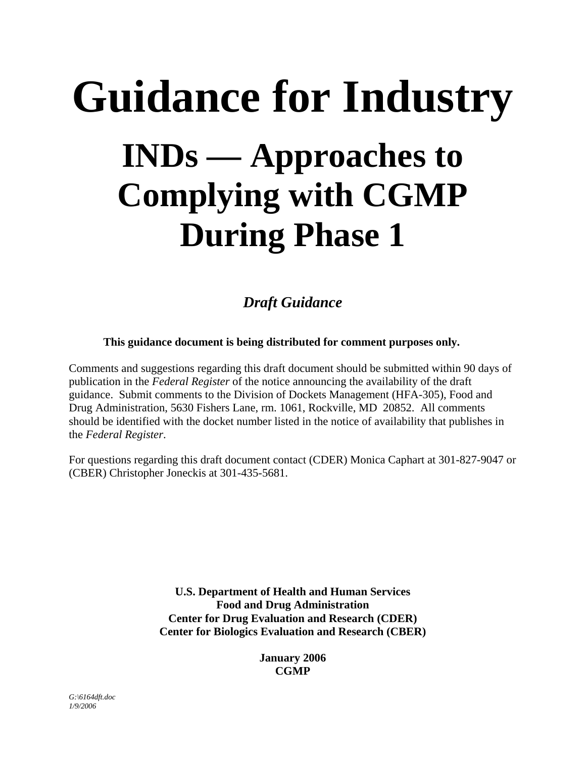# **Guidance for Industry INDs — Approaches to Complying with CGMP During Phase 1**

*Draft Guidance*

**This guidance document is being distributed for comment purposes only.** 

Comments and suggestions regarding this draft document should be submitted within 90 days of publication in the *Federal Register* of the notice announcing the availability of the draft guidance. Submit comments to the Division of Dockets Management (HFA-305), Food and Drug Administration, 5630 Fishers Lane, rm. 1061, Rockville, MD 20852. All comments should be identified with the docket number listed in the notice of availability that publishes in the *Federal Register*.

For questions regarding this draft document contact (CDER) Monica Caphart at 301-827-9047 or (CBER) Christopher Joneckis at 301-435-5681.

> **U.S. Department of Health and Human Services Food and Drug Administration Center for Drug Evaluation and Research (CDER) Center for Biologics Evaluation and Research (CBER)**

> > **January 2006 CGMP**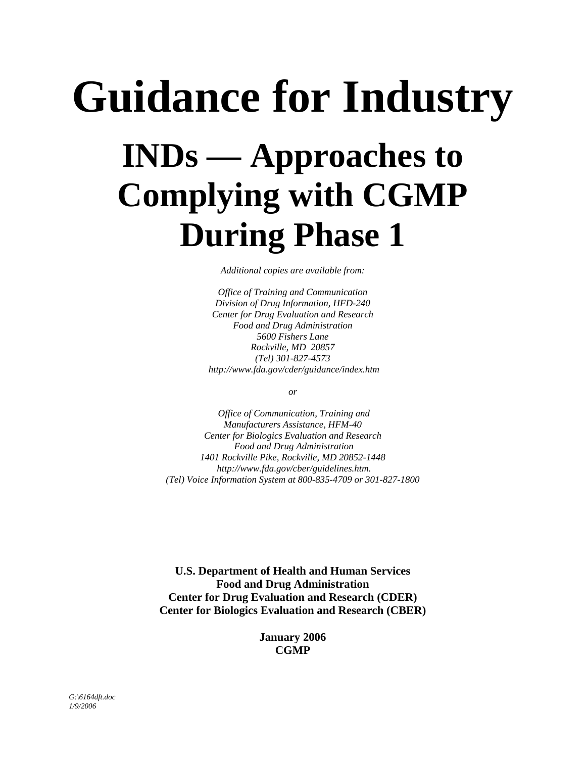# **Guidance for Industry INDs — Approaches to Complying with CGMP During Phase 1**

*Additional copies are available from:* 

*Office of Training and Communication Division of Drug Information, HFD-240 Center for Drug Evaluation and Research Food and Drug Administration 5600 Fishers Lane Rockville, MD 20857 (Tel) 301-827-4573 http://www.fda.gov/cder/guidance/index.htm* 

*or* 

 *Office of Communication, Training and Manufacturers Assistance, HFM-40 Center for Biologics Evaluation and Research Food and Drug Administration 1401 Rockville Pike, Rockville, MD 20852-1448 http://www.fda.gov/cber/guidelines.htm. (Tel) Voice Information System at 800-835-4709 or 301-827-1800*

**U.S. Department of Health and Human Services Food and Drug Administration Center for Drug Evaluation and Research (CDER) Center for Biologics Evaluation and Research (CBER)** 

> **January 2006 CGMP**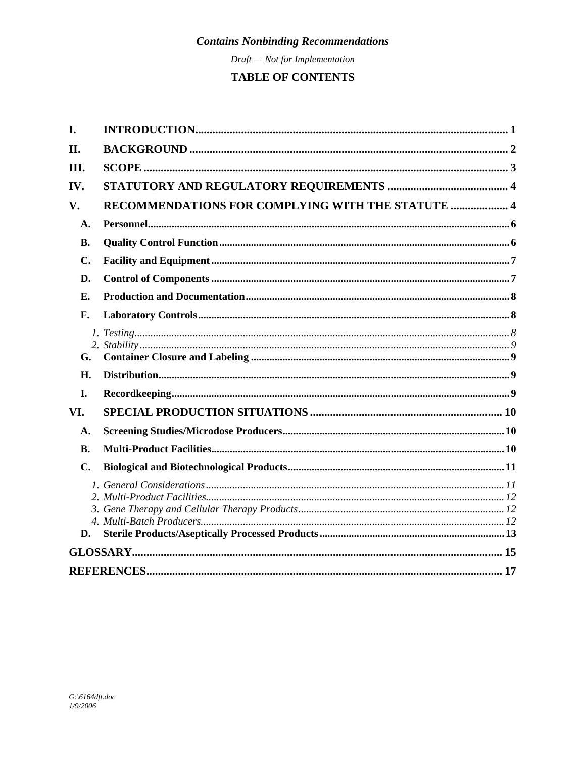$Draft - Not for Implementation$ 

### TABLE OF CONTENTS

| I.             |                                                   |  |
|----------------|---------------------------------------------------|--|
| II.            |                                                   |  |
| III.           |                                                   |  |
| IV.            |                                                   |  |
| V.             | RECOMMENDATIONS FOR COMPLYING WITH THE STATUTE  4 |  |
| A.             |                                                   |  |
| <b>B.</b>      |                                                   |  |
| C.             |                                                   |  |
| D.             |                                                   |  |
| Е.             |                                                   |  |
| F.             |                                                   |  |
|                |                                                   |  |
| G.             |                                                   |  |
| H.             |                                                   |  |
| I.             |                                                   |  |
| VI.            |                                                   |  |
| A.             |                                                   |  |
| <b>B.</b>      |                                                   |  |
| $\mathbf{C}$ . |                                                   |  |
| D.             |                                                   |  |
|                |                                                   |  |
|                |                                                   |  |
|                |                                                   |  |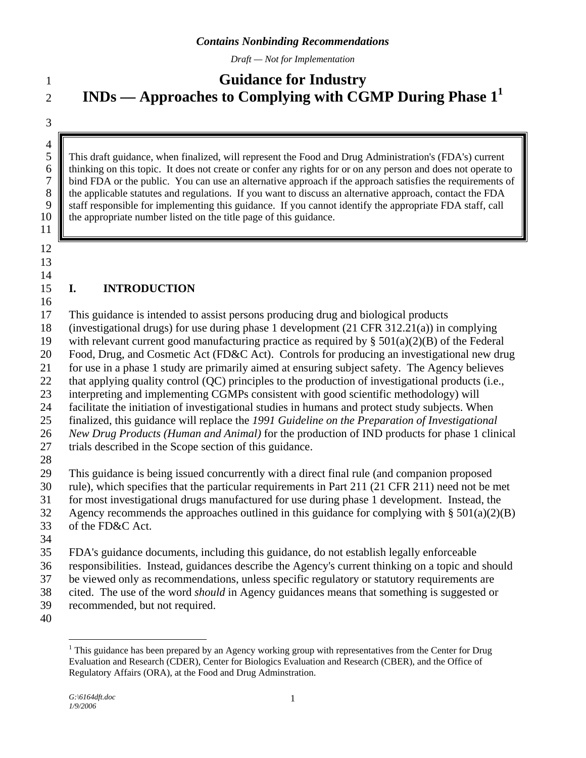*Draft — Not for Implementation*

## <span id="page-3-0"></span>1 **Guidance for Industry INDs — Approaches to Complying with CGMP During Phase [11](#page-3-1)**

3

 $\frac{4}{5}$ 

2

5 This draft guidance, when finalized, will represent the Food and Drug Administration's (FDA's) current the finalized thinking on this topic. It does not create or confer any rights for or on any person and does not opera 6 thinking on this topic. It does not create or confer any rights for or on any person and does not operate to bind FDA or the public. You can use an alternative approach if the approach satisfies the requirements of bind FDA or the public. You can use an alternative approach if the approach satisfies the requirements of 8 the applicable statutes and regulations. If you want to discuss an alternative approach, contact the FDA staff responsible for implementing this guidance. If you cannot identify the appropriate FDA staff, call staff responsible for implementing this guidance. If you cannot identify the appropriate FDA staff, call 10 **the appropriate number listed on the title page of this guidance.** 

11 12

13

#### 14

#### 15 **I. INTRODUCTION**

- 16 17 This guidance is intended to assist persons producing drug and biological products
- 18 (investigational drugs) for use during phase 1 development  $(21 \text{ CFR } 312.21(a))$  in complying
- 19 with relevant current good manufacturing practice as required by  $\S 501(a)(2)(B)$  of the Federal
- 20 Food, Drug, and Cosmetic Act (FD&C Act). Controls for producing an investigational new drug
- 21 for use in a phase 1 study are primarily aimed at ensuring subject safety. The Agency believes
- 22 that applying quality control (QC) principles to the production of investigational products (i.e.,
- 23 interpreting and implementing CGMPs consistent with good scientific methodology) will
- 24 facilitate the initiation of investigational studies in humans and protect study subjects. When
- 25 finalized, this guidance will replace the *1991 Guideline on the Preparation of Investigational*
- 26 *New Drug Products (Human and Animal)* for the production of IND products for phase 1 clinical
- 27 trials described in the Scope section of this guidance.
- 28
- 29 This guidance is being issued concurrently with a direct final rule (and companion proposed
- 30 rule), which specifies that the particular requirements in Part 211 (21 CFR 211) need not be met
- 31 for most investigational drugs manufactured for use during phase 1 development. Instead, the
- 32 Agency recommends the approaches outlined in this guidance for complying with  $\S 501(a)(2)(B)$
- 33 of the FD&C Act.
- 34
- 35 FDA's guidance documents, including this guidance, do not establish legally enforceable
- 36 responsibilities. Instead, guidances describe the Agency's current thinking on a topic and should
- 37 be viewed only as recommendations, unless specific regulatory or statutory requirements are
- 38 cited. The use of the word *should* in Agency guidances means that something is suggested or
- <span id="page-3-1"></span>39 40 recommended, but not required.
	- $\overline{a}$ <sup>1</sup> This guidance has been prepared by an Agency working group with representatives from the Center for Drug Evaluation and Research (CDER), Center for Biologics Evaluation and Research (CBER), and the Office of Regulatory Affairs (ORA), at the Food and Drug Adminstration.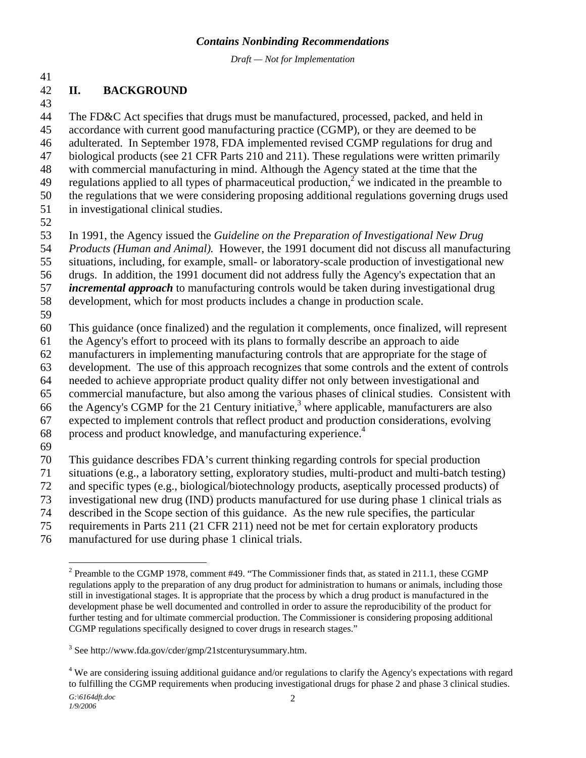*Draft — Not for Implementation*

#### <span id="page-4-0"></span>41

#### 42 **II. BACKGROUND**

43

44 45 46 47 48 49 50 51 The FD&C Act specifies that drugs must be manufactured, processed, packed, and held in accordance with current good manufacturing practice (CGMP), or they are deemed to be adulterated. In September 1978, FDA implemented revised CGMP regulations for drug and biological products (see 21 CFR Parts 210 and 211). These regulations were written primarily with commercial manufacturing in mind. Although the Agency stated at the time that the regulations applied to all types of pharmaceutical production,<sup>[2](#page-4-1)</sup> we indicated in the preamble to the regulations that we were considering proposing additional regulations governing drugs used in investigational clinical studies.

52

53 In 1991, the Agency issued the *Guideline on the Preparation of Investigational New Drug* 

54 *Products (Human and Animal).* However, the 1991 document did not discuss all manufacturing

55 situations, including, for example, small- or laboratory-scale production of investigational new

56 drugs. In addition, the 1991 document did not address fully the Agency's expectation that an

57 *incremental approach* to manufacturing controls would be taken during investigational drug

58 development, which for most products includes a change in production scale.

59

60 This guidance (once finalized) and the regulation it complements, once finalized, will represent

61 the Agency's effort to proceed with its plans to formally describe an approach to aide

62 manufacturers in implementing manufacturing controls that are appropriate for the stage of

63 development. The use of this approach recognizes that some controls and the extent of controls

64 needed to achieve appropriate product quality differ not only between investigational and

65 commercial manufacture, but also among the various phases of clinical studies. Consistent with

66 the Agency's CGMP for the 21 Century initiative,<sup>[3](#page-4-2)</sup> where applicable, manufacturers are also

67 expected to implement controls that reflect product and production considerations, evolving

- 68 process and product knowledge, and manufacturing experience.<sup>[4](#page-4-3)</sup>
- 69

70 This guidance describes FDA's current thinking regarding controls for special production

71 situations (e.g., a laboratory setting, exploratory studies, multi-product and multi-batch testing)

72 and specific types (e.g., biological/biotechnology products, aseptically processed products) of

73 investigational new drug (IND) products manufactured for use during phase 1 clinical trials as

- 74 described in the Scope section of this guidance. As the new rule specifies, the particular
- 75 requirements in Parts 211 (21 CFR 211) need not be met for certain exploratory products
- 76 manufactured for use during phase 1 clinical trials.

<span id="page-4-3"></span><sup>4</sup> We are considering issuing additional guidance and/or regulations to clarify the Agency's expectations with regard to fulfilling the CGMP requirements when producing investigational drugs for phase 2 and phase 3 clinical studies.

<span id="page-4-1"></span> $\overline{a}$ <sup>2</sup> Preamble to the CGMP 1978, comment #49. "The Commissioner finds that, as stated in 211.1, these CGMP regulations apply to the preparation of any drug product for administration to humans or animals, including those still in investigational stages. It is appropriate that the process by which a drug product is manufactured in the development phase be well documented and controlled in order to assure the reproducibility of the product for further testing and for ultimate commercial production. The Commissioner is considering proposing additional CGMP regulations specifically designed to cover drugs in research stages."

<span id="page-4-2"></span><sup>&</sup>lt;sup>3</sup> See http://www.fda.gov/cder/gmp/21stcenturysummary.htm.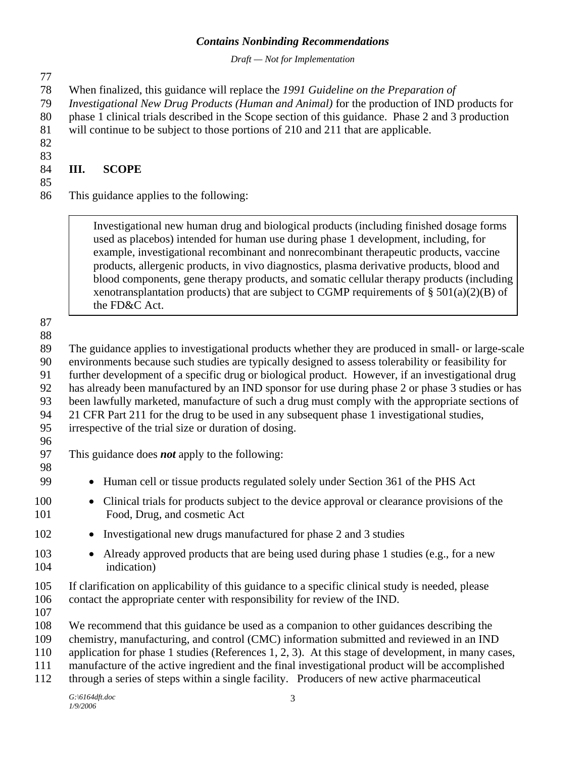<span id="page-5-0"></span>

| Draft - Not for Implementation                                                                                                                                                                                                                                                                                                                                                                                                                                                                                                                                                                                                                                               |  |  |  |
|------------------------------------------------------------------------------------------------------------------------------------------------------------------------------------------------------------------------------------------------------------------------------------------------------------------------------------------------------------------------------------------------------------------------------------------------------------------------------------------------------------------------------------------------------------------------------------------------------------------------------------------------------------------------------|--|--|--|
| When finalized, this guidance will replace the 1991 Guideline on the Preparation of<br>Investigational New Drug Products (Human and Animal) for the production of IND products for<br>phase 1 clinical trials described in the Scope section of this guidance. Phase 2 and 3 production<br>will continue to be subject to those portions of 210 and 211 that are applicable.                                                                                                                                                                                                                                                                                                 |  |  |  |
| <b>SCOPE</b><br>Ш.                                                                                                                                                                                                                                                                                                                                                                                                                                                                                                                                                                                                                                                           |  |  |  |
| This guidance applies to the following:                                                                                                                                                                                                                                                                                                                                                                                                                                                                                                                                                                                                                                      |  |  |  |
| Investigational new human drug and biological products (including finished dosage forms<br>used as placebos) intended for human use during phase 1 development, including, for<br>example, investigational recombinant and nonrecombinant therapeutic products, vaccine<br>products, allergenic products, in vivo diagnostics, plasma derivative products, blood and<br>blood components, gene therapy products, and somatic cellular therapy products (including<br>xenotransplantation products) that are subject to CGMP requirements of § 501(a)(2)(B) of<br>the FD&C Act.                                                                                               |  |  |  |
| The guidance applies to investigational products whether they are produced in small- or large-scale<br>environments because such studies are typically designed to assess tolerability or feasibility for<br>further development of a specific drug or biological product. However, if an investigational drug<br>has already been manufactured by an IND sponsor for use during phase 2 or phase 3 studies or has<br>been lawfully marketed, manufacture of such a drug must comply with the appropriate sections of<br>21 CFR Part 211 for the drug to be used in any subsequent phase 1 investigational studies,<br>irrespective of the trial size or duration of dosing. |  |  |  |
| This guidance does <b>not</b> apply to the following:                                                                                                                                                                                                                                                                                                                                                                                                                                                                                                                                                                                                                        |  |  |  |
| • Human cell or tissue products regulated solely under Section 361 of the PHS Act                                                                                                                                                                                                                                                                                                                                                                                                                                                                                                                                                                                            |  |  |  |
| Clinical trials for products subject to the device approval or clearance provisions of the<br>Food, Drug, and cosmetic Act                                                                                                                                                                                                                                                                                                                                                                                                                                                                                                                                                   |  |  |  |
| Investigational new drugs manufactured for phase 2 and 3 studies                                                                                                                                                                                                                                                                                                                                                                                                                                                                                                                                                                                                             |  |  |  |
| Already approved products that are being used during phase 1 studies (e.g., for a new<br>indication)                                                                                                                                                                                                                                                                                                                                                                                                                                                                                                                                                                         |  |  |  |
| If clarification on applicability of this guidance to a specific clinical study is needed, please<br>contact the appropriate center with responsibility for review of the IND.                                                                                                                                                                                                                                                                                                                                                                                                                                                                                               |  |  |  |
| We recommend that this guidance be used as a companion to other guidances describing the<br>chemistry, manufacturing, and control (CMC) information submitted and reviewed in an IND<br>application for phase 1 studies (References 1, 2, 3). At this stage of development, in many cases,<br>manufacture of the active ingredient and the final investigational product will be accomplished<br>through a series of steps within a single facility. Producers of new active pharmaceutical                                                                                                                                                                                  |  |  |  |
| $G:\delta164dft.doc$                                                                                                                                                                                                                                                                                                                                                                                                                                                                                                                                                                                                                                                         |  |  |  |

100 101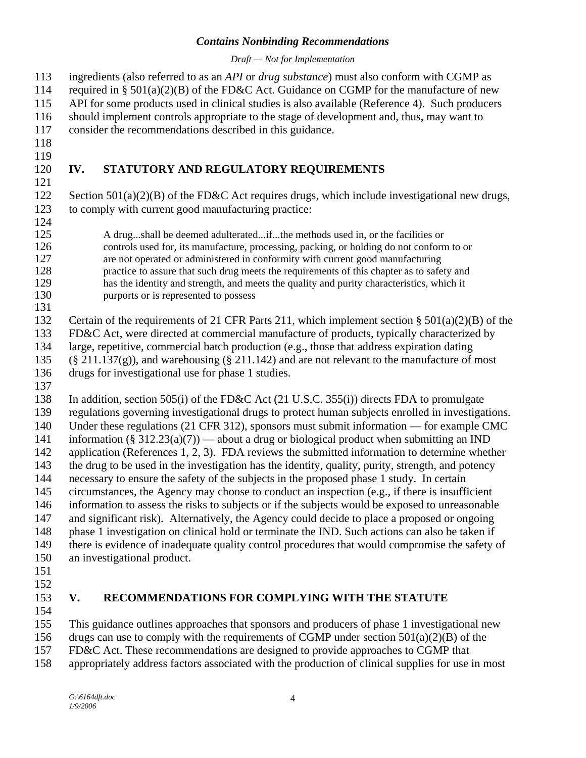*Draft — Not for Implementation*

<span id="page-6-0"></span>ingredients (also referred to as an *API* or *drug substance*) must also conform with CGMP as required in §  $501(a)(2)(B)$  of the FD&C Act. Guidance on CGMP for the manufacture of new API for some products used in clinical studies is also available (Reference 4). Such producers should implement controls appropriate to the stage of development and, thus, may want to consider the recommendations described in this guidance. 113 114 115 116 117 118 119 120 121 122 123 124 125 126 127 128 129 130 131 132 133 134 135 136 137 138 139 140 141 142 143 144 145 146 147 148 149 150 151 152 153 154 155 156 **IV. STATUTORY AND REGULATORY REQUIREMENTS**  Section  $501(a)(2)(B)$  of the FD&C Act requires drugs, which include investigational new drugs, to comply with current good manufacturing practice: A drug...shall be deemed adulterated...if...the methods used in, or the facilities or controls used for, its manufacture, processing, packing, or holding do not conform to or are not operated or administered in conformity with current good manufacturing practice to assure that such drug meets the requirements of this chapter as to safety and has the identity and strength, and meets the quality and purity characteristics, which it purports or is represented to possess Certain of the requirements of 21 CFR Parts 211, which implement section  $\S 501(a)(2)(B)$  of the FD&C Act, were directed at commercial manufacture of products, typically characterized by large, repetitive, commercial batch production (e.g., those that address expiration dating  $(\S 211.137(g))$ , and warehousing  $(\S 211.142)$  and are not relevant to the manufacture of most drugs for investigational use for phase 1 studies. In addition, section 505(i) of the FD&C Act (21 U.S.C. 355(i)) directs FDA to promulgate regulations governing investigational drugs to protect human subjects enrolled in investigations. Under these regulations (21 CFR 312), sponsors must submit information — for example CMC information (§ 312.23(a)(7)) — about a drug or biological product when submitting an IND application (References 1, 2, 3). FDA reviews the submitted information to determine whether the drug to be used in the investigation has the identity, quality, purity, strength, and potency necessary to ensure the safety of the subjects in the proposed phase 1 study. In certain circumstances, the Agency may choose to conduct an inspection (e.g., if there is insufficient information to assess the risks to subjects or if the subjects would be exposed to unreasonable and significant risk). Alternatively, the Agency could decide to place a proposed or ongoing phase 1 investigation on clinical hold or terminate the IND. Such actions can also be taken if there is evidence of inadequate quality control procedures that would compromise the safety of an investigational product. **V. RECOMMENDATIONS FOR COMPLYING WITH THE STATUTE**  This guidance outlines approaches that sponsors and producers of phase 1 investigational new drugs can use to comply with the requirements of CGMP under section  $501(a)(2)(B)$  of the

- 157 FD&C Act. These recommendations are designed to provide approaches to CGMP that
- 158 appropriately address factors associated with the production of clinical supplies for use in most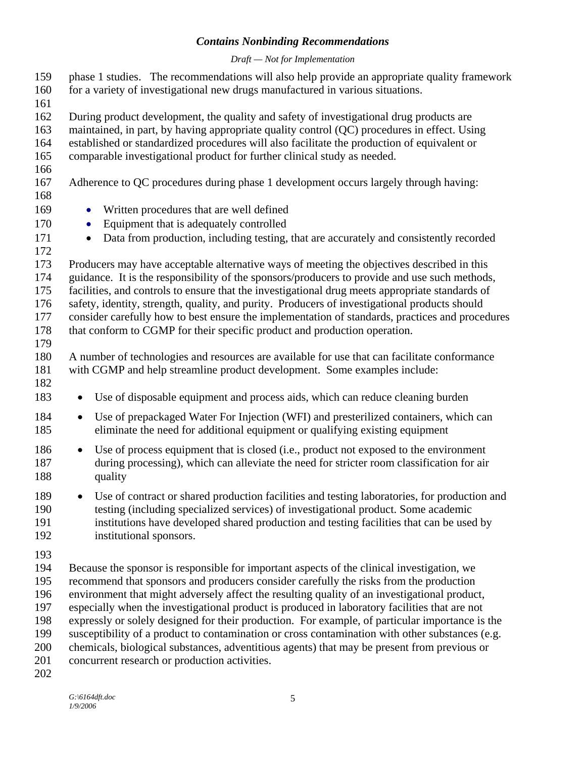#### *Draft — Not for Implementation*

- phase 1 studies. The recommendations will also help provide an appropriate quality framework for a variety of investigational new drugs manufactured in various situations. 159 160 161
- 162 During product development, the quality and safety of investigational drug products are
- 163 maintained, in part, by having appropriate quality control (QC) procedures in effect. Using
- 164 established or standardized procedures will also facilitate the production of equivalent or
- 165 comparable investigational product for further clinical study as needed.
- 166
- 167 Adherence to QC procedures during phase 1 development occurs largely through having:
- 168 169

170

- Written procedures that are well defined
- Equipment that is adequately controlled
- Data from production, including testing, that are accurately and consistently recorded
- 171 172

173 Producers may have acceptable alternative ways of meeting the objectives described in this

174 guidance. It is the responsibility of the sponsors/producers to provide and use such methods,

175 facilities, and controls to ensure that the investigational drug meets appropriate standards of

176 safety, identity, strength, quality, and purity. Producers of investigational products should

177 178 consider carefully how to best ensure the implementation of standards, practices and procedures

- 179 that conform to CGMP for their specific product and production operation.
- 180 181 A number of technologies and resources are available for use that can facilitate conformance with CGMP and help streamline product development. Some examples include:
- 182
- 183 Use of disposable equipment and process aids, which can reduce cleaning burden
- 184 185 Use of prepackaged Water For Injection (WFI) and presterilized containers, which can eliminate the need for additional equipment or qualifying existing equipment
- 186 187 188 Use of process equipment that is closed (i.e., product not exposed to the environment during processing), which can alleviate the need for stricter room classification for air quality
- 189 190 191 192 Use of contract or shared production facilities and testing laboratories, for production and testing (including specialized services) of investigational product. Some academic institutions have developed shared production and testing facilities that can be used by institutional sponsors.
- 193

194 195 196 197 198 199 200 201 Because the sponsor is responsible for important aspects of the clinical investigation, we recommend that sponsors and producers consider carefully the risks from the production environment that might adversely affect the resulting quality of an investigational product, especially when the investigational product is produced in laboratory facilities that are not expressly or solely designed for their production. For example, of particular importance is the susceptibility of a product to contamination or cross contamination with other substances (e.g. chemicals, biological substances, adventitious agents) that may be present from previous or concurrent research or production activities.

202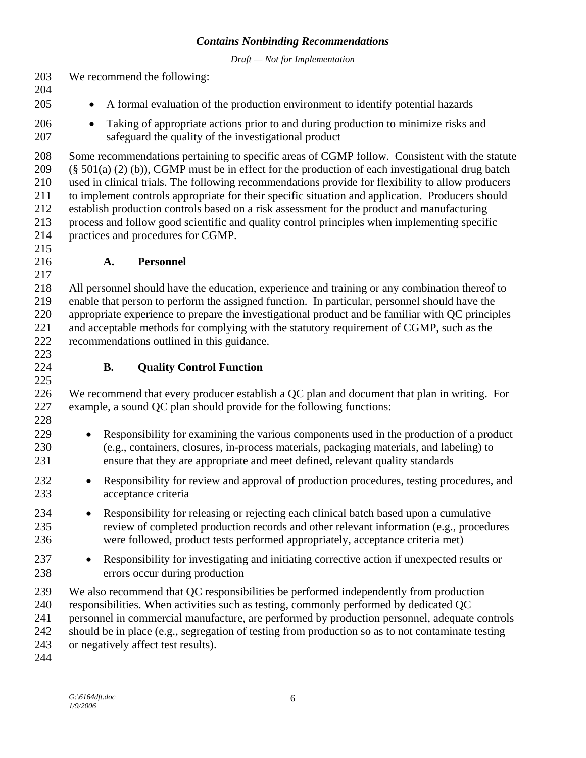*Draft — Not for Implementation*

<span id="page-8-0"></span>203 We recommend the following:

- 204
- 205 • A formal evaluation of the production environment to identify potential hazards
- 206 207 • Taking of appropriate actions prior to and during production to minimize risks and safeguard the quality of the investigational product

208 209 210 211 212 213 214 Some recommendations pertaining to specific areas of CGMP follow. Consistent with the statute (§ 501(a) (2) (b)), CGMP must be in effect for the production of each investigational drug batch used in clinical trials. The following recommendations provide for flexibility to allow producers to implement controls appropriate for their specific situation and application. Producers should establish production controls based on a risk assessment for the product and manufacturing process and follow good scientific and quality control principles when implementing specific practices and procedures for CGMP.

215 216

217

224 225 **A. Personnel** 

218 219 220 221 222 223 All personnel should have the education, experience and training or any combination thereof to enable that person to perform the assigned function. In particular, personnel should have the appropriate experience to prepare the investigational product and be familiar with QC principles and acceptable methods for complying with the statutory requirement of CGMP, such as the recommendations outlined in this guidance.

**B. Quality Control Function** 

226 227 228 We recommend that every producer establish a QC plan and document that plan in writing. For example, a sound QC plan should provide for the following functions:

- 229 230 231 • Responsibility for examining the various components used in the production of a product (e.g., containers, closures, in-process materials, packaging materials, and labeling) to ensure that they are appropriate and meet defined, relevant quality standards
- 232 233 • Responsibility for review and approval of production procedures, testing procedures, and acceptance criteria
- 234 235 236 • Responsibility for releasing or rejecting each clinical batch based upon a cumulative review of completed production records and other relevant information (e.g., procedures were followed, product tests performed appropriately, acceptance criteria met)
- 237 238 • Responsibility for investigating and initiating corrective action if unexpected results or errors occur during production
- 239 240 We also recommend that QC responsibilities be performed independently from production responsibilities. When activities such as testing, commonly performed by dedicated QC
- 241 personnel in commercial manufacture, are performed by production personnel, adequate controls
- 242 should be in place (e.g., segregation of testing from production so as to not contaminate testing

243 or negatively affect test results).

244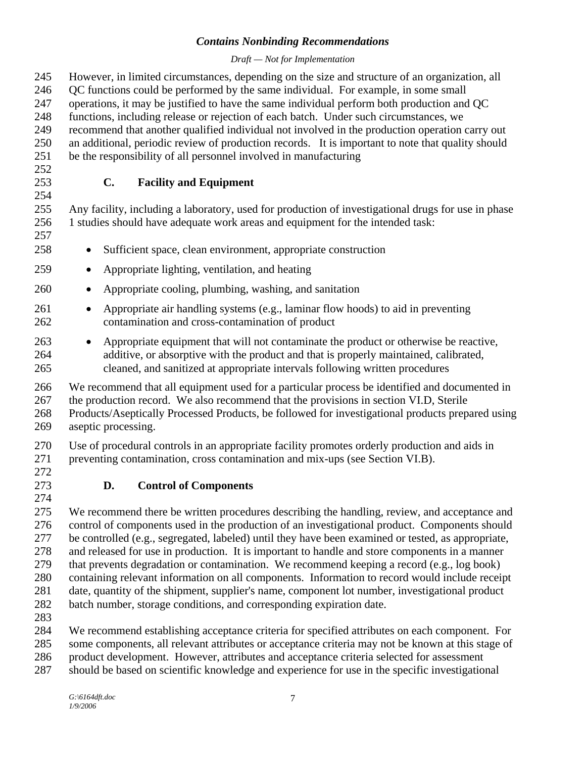#### *Draft — Not for Implementation*

<span id="page-9-0"></span>245 246 247 248 249 250 251 252 253 254 255 256 257 258 259 260 261 262 263 264 265 266 267 268 269 270 271 272 273 274 275 276 277 278 279 280 However, in limited circumstances, depending on the size and structure of an organization, all QC functions could be performed by the same individual. For example, in some small operations, it may be justified to have the same individual perform both production and QC functions, including release or rejection of each batch. Under such circumstances, we recommend that another qualified individual not involved in the production operation carry out an additional, periodic review of production records. It is important to note that quality should be the responsibility of all personnel involved in manufacturing **C. Facility and Equipment**  Any facility, including a laboratory, used for production of investigational drugs for use in phase 1 studies should have adequate work areas and equipment for the intended task: • Sufficient space, clean environment, appropriate construction • Appropriate lighting, ventilation, and heating • Appropriate cooling, plumbing, washing, and sanitation • Appropriate air handling systems (e.g., laminar flow hoods) to aid in preventing contamination and cross-contamination of product • Appropriate equipment that will not contaminate the product or otherwise be reactive, additive, or absorptive with the product and that is properly maintained, calibrated, cleaned, and sanitized at appropriate intervals following written procedures We recommend that all equipment used for a particular process be identified and documented in the production record. We also recommend that the provisions in section VI.D, Sterile Products/Aseptically Processed Products, be followed for investigational products prepared using aseptic processing. Use of procedural controls in an appropriate facility promotes orderly production and aids in preventing contamination, cross contamination and mix-ups (see Section VI.B). **D. Control of Components**  We recommend there be written procedures describing the handling, review, and acceptance and control of components used in the production of an investigational product. Components should be controlled (e.g., segregated, labeled) until they have been examined or tested, as appropriate, and released for use in production. It is important to handle and store components in a manner that prevents degradation or contamination. We recommend keeping a record (e.g., log book) containing relevant information on all components. Information to record would include receipt

- 281 date, quantity of the shipment, supplier's name, component lot number, investigational product
- 282 batch number, storage conditions, and corresponding expiration date.
- 283

284 285 286 We recommend establishing acceptance criteria for specified attributes on each component. For some components, all relevant attributes or acceptance criteria may not be known at this stage of product development. However, attributes and acceptance criteria selected for assessment

287 should be based on scientific knowledge and experience for use in the specific investigational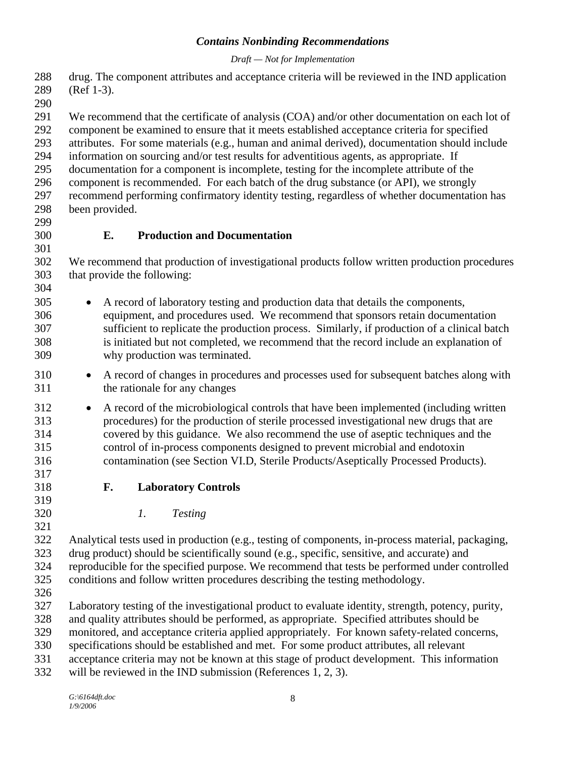#### *Draft — Not for Implementation*

<span id="page-10-0"></span>288 289 drug. The component attributes and acceptance criteria will be reviewed in the IND application (Ref 1-3).

290

291 292 We recommend that the certificate of analysis (COA) and/or other documentation on each lot of component be examined to ensure that it meets established acceptance criteria for specified

293 attributes. For some materials (e.g., human and animal derived), documentation should include

294 information on sourcing and/or test results for adventitious agents, as appropriate. If

295 documentation for a component is incomplete, testing for the incomplete attribute of the

296 297 component is recommended. For each batch of the drug substance (or API), we strongly recommend performing confirmatory identity testing, regardless of whether documentation has been provided.

298 299

300 301

304

#### **E. Production and Documentation**

302 303 We recommend that production of investigational products follow written production procedures that provide the following:

- 305 306 307 308 309 • A record of laboratory testing and production data that details the components, equipment, and procedures used. We recommend that sponsors retain documentation sufficient to replicate the production process. Similarly, if production of a clinical batch is initiated but not completed, we recommend that the record include an explanation of why production was terminated.
- 310 311 • A record of changes in procedures and processes used for subsequent batches along with the rationale for any changes
- 312 313 314 315 316 317 • A record of the microbiological controls that have been implemented (including written procedures) for the production of sterile processed investigational new drugs that are covered by this guidance. We also recommend the use of aseptic techniques and the control of in-process components designed to prevent microbial and endotoxin contamination (see Section VI.D, Sterile Products/Aseptically Processed Products).
	- **F. Laboratory Controls**
	-
- 320 321

318 319

*1. Testing* 

322 323 324 325 Analytical tests used in production (e.g., testing of components, in-process material, packaging, drug product) should be scientifically sound (e.g., specific, sensitive, and accurate) and reproducible for the specified purpose. We recommend that tests be performed under controlled conditions and follow written procedures describing the testing methodology.

326

327 Laboratory testing of the investigational product to evaluate identity, strength, potency, purity,

328 and quality attributes should be performed, as appropriate. Specified attributes should be

329 monitored, and acceptance criteria applied appropriately. For known safety-related concerns,

330 specifications should be established and met. For some product attributes, all relevant

331 acceptance criteria may not be known at this stage of product development. This information

332 will be reviewed in the IND submission (References 1, 2, 3).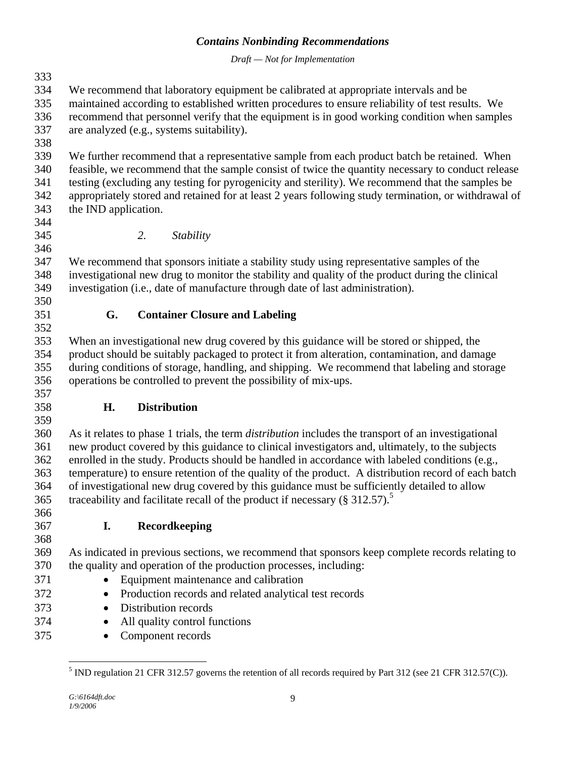*Draft — Not for Implementation*

<span id="page-11-0"></span>333 334 335 336 337 338 339 340 341 342 343 344 345 346 347 348 349 350 351 352 353 354 355 356 357 358 359 360 361 362 363 364 365 366 367 368 369 370 371 372 373 374 375 We recommend that laboratory equipment be calibrated at appropriate intervals and be maintained according to established written procedures to ensure reliability of test results. We recommend that personnel verify that the equipment is in good working condition when samples are analyzed (e.g., systems suitability). We further recommend that a representative sample from each product batch be retained. When feasible, we recommend that the sample consist of twice the quantity necessary to conduct release testing (excluding any testing for pyrogenicity and sterility). We recommend that the samples be appropriately stored and retained for at least 2 years following study termination, or withdrawal of the IND application. *2. Stability*  We recommend that sponsors initiate a stability study using representative samples of the investigational new drug to monitor the stability and quality of the product during the clinical investigation (i.e., date of manufacture through date of last administration).  **G. Container Closure and Labeling**  When an investigational new drug covered by this guidance will be stored or shipped, the product should be suitably packaged to protect it from alteration, contamination, and damage during conditions of storage, handling, and shipping. We recommend that labeling and storage operations be controlled to prevent the possibility of mix-ups. **H. Distribution**  As it relates to phase 1 trials, the term *distribution* includes the transport of an investigational new product covered by this guidance to clinical investigators and, ultimately, to the subjects enrolled in the study. Products should be handled in accordance with labeled conditions (e.g., temperature) to ensure retention of the quality of the product. A distribution record of each batch of investigational new drug covered by this guidance must be sufficiently detailed to allow traceability and facilitate recall of the product if necessary ( $§$  312[.5](#page-11-1)7).<sup>5</sup> **I. Recordkeeping**  As indicated in previous sections, we recommend that sponsors keep complete records relating to the quality and operation of the production processes, including: • Equipment maintenance and calibration • Production records and related analytical test records • Distribution records • All quality control functions • Component records

<span id="page-11-1"></span><sup>&</sup>lt;sup>5</sup> IND regulation 21 CFR 312.57 governs the retention of all records required by Part 312 (see 21 CFR 312.57(C)).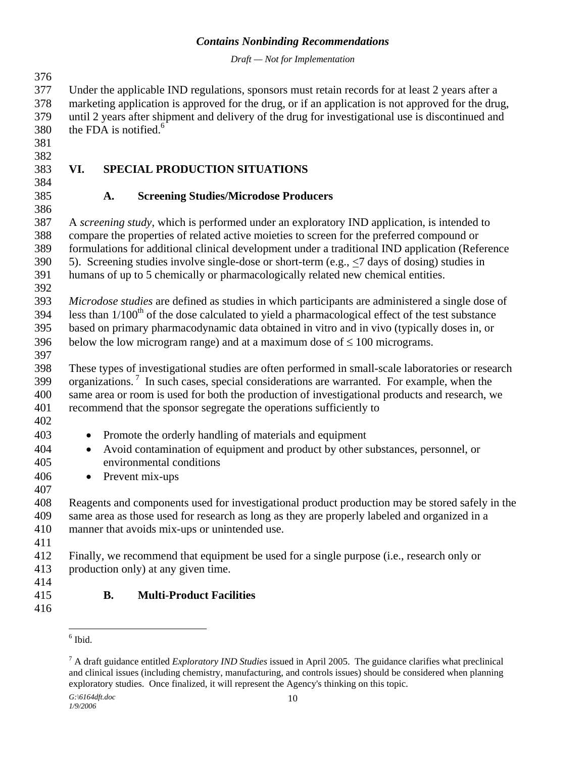*Draft — Not for Implementation*

<span id="page-12-0"></span>376 377 378 379 380 381 382 383 384 385 386 387 388 389 Under the applicable IND regulations, sponsors must retain records for at least 2 years after a marketing application is approved for the drug, or if an application is not approved for the drug, until 2 years after shipment and delivery of the drug for investigational use is discontinued and the FDA is notified. $6$ **VI. SPECIAL PRODUCTION SITUATIONS A. Screening Studies/Microdose Producers**  A *screening study*, which is performed under an exploratory IND application, is intended to compare the properties of related active moieties to screen for the preferred compound or formulations for additional clinical development under a traditional IND application (Reference 5). Screening studies involve single-dose or short-term (e.g., <7 days of dosing) studies in humans of up to 5 chemically or pharmacologically related new chemical entities. 390 391 392 393 394 395 396 397 398 399 400 401 402 403 404 405 406 407 408 409 410 411 412 413 414 415 416  $\overline{a}$ *Microdose studies* are defined as studies in which participants are administered a single dose of less than  $1/100<sup>th</sup>$  of the dose calculated to yield a pharmacological effect of the test substance based on primary pharmacodynamic data obtained in vitro and in vivo (typically doses in, or below the low microgram range) and at a maximum dose of  $\leq 100$  micrograms. These types of investigational studies are often performed in small-scale laboratories or research organizations.<sup>7</sup> In such cases, special considerations are warranted. For example, when the same area or room is used for both the production of investigational products and research, we recommend that the sponsor segregate the operations sufficiently to • Promote the orderly handling of materials and equipment • Avoid contamination of equipment and product by other substances, personnel, or environmental conditions • Prevent mix-ups Reagents and components used for investigational product production may be stored safely in the same area as those used for research as long as they are properly labeled and organized in a manner that avoids mix-ups or unintended use. Finally, we recommend that equipment be used for a single purpose (i.e., research only or production only) at any given time. **B. Multi-Product Facilities**   $<sup>6</sup>$  Ibid.</sup>

<span id="page-12-2"></span><span id="page-12-1"></span><sup>7</sup> A draft guidance entitled *Exploratory IND Studies* issued in April 2005. The guidance clarifies what preclinical and clinical issues (including chemistry, manufacturing, and controls issues) should be considered when planning exploratory studies. Once finalized, it will represent the Agency's thinking on this topic.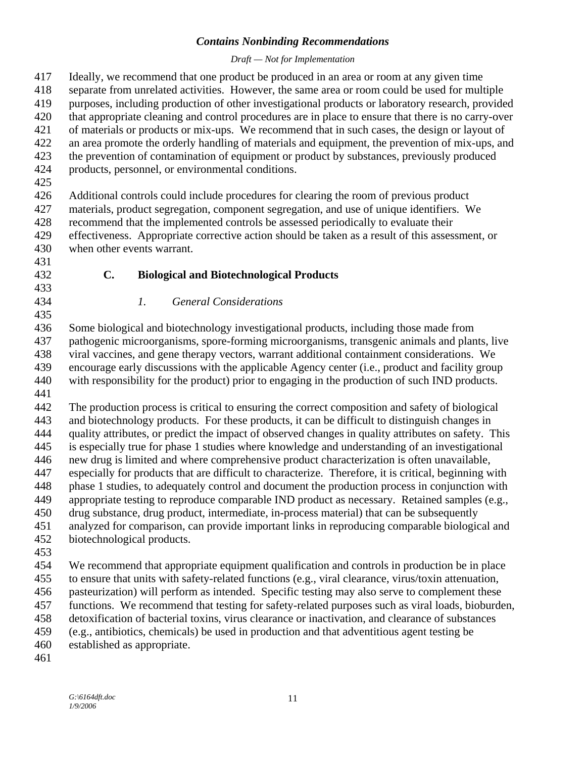<span id="page-13-0"></span>

| 417<br>418<br>419<br>420<br>421<br>422 | Ideally, we recommend that one product be produced in an area or room at any given time<br>separate from unrelated activities. However, the same area or room could be used for multiple<br>purposes, including production of other investigational products or laboratory research, provided<br>that appropriate cleaning and control procedures are in place to ensure that there is no carry-over<br>of materials or products or mix-ups. We recommend that in such cases, the design or layout of<br>an area promote the orderly handling of materials and equipment, the prevention of mix-ups, and |  |  |  |
|----------------------------------------|----------------------------------------------------------------------------------------------------------------------------------------------------------------------------------------------------------------------------------------------------------------------------------------------------------------------------------------------------------------------------------------------------------------------------------------------------------------------------------------------------------------------------------------------------------------------------------------------------------|--|--|--|
| 423<br>424<br>425                      | the prevention of contamination of equipment or product by substances, previously produced<br>products, personnel, or environmental conditions.                                                                                                                                                                                                                                                                                                                                                                                                                                                          |  |  |  |
| 426                                    | Additional controls could include procedures for clearing the room of previous product                                                                                                                                                                                                                                                                                                                                                                                                                                                                                                                   |  |  |  |
| 427                                    | materials, product segregation, component segregation, and use of unique identifiers. We                                                                                                                                                                                                                                                                                                                                                                                                                                                                                                                 |  |  |  |
| 428                                    | recommend that the implemented controls be assessed periodically to evaluate their                                                                                                                                                                                                                                                                                                                                                                                                                                                                                                                       |  |  |  |
| 429                                    | effectiveness. Appropriate corrective action should be taken as a result of this assessment, or                                                                                                                                                                                                                                                                                                                                                                                                                                                                                                          |  |  |  |
| 430                                    | when other events warrant.                                                                                                                                                                                                                                                                                                                                                                                                                                                                                                                                                                               |  |  |  |
| 431                                    |                                                                                                                                                                                                                                                                                                                                                                                                                                                                                                                                                                                                          |  |  |  |
| 432                                    | $C_{\bullet}$<br><b>Biological and Biotechnological Products</b>                                                                                                                                                                                                                                                                                                                                                                                                                                                                                                                                         |  |  |  |
| 433                                    |                                                                                                                                                                                                                                                                                                                                                                                                                                                                                                                                                                                                          |  |  |  |
| 434                                    | <b>General Considerations</b><br>$\mathfrak{1}.$                                                                                                                                                                                                                                                                                                                                                                                                                                                                                                                                                         |  |  |  |
| 435                                    |                                                                                                                                                                                                                                                                                                                                                                                                                                                                                                                                                                                                          |  |  |  |
| 436                                    | Some biological and biotechnology investigational products, including those made from                                                                                                                                                                                                                                                                                                                                                                                                                                                                                                                    |  |  |  |
| 437                                    | pathogenic microorganisms, spore-forming microorganisms, transgenic animals and plants, live                                                                                                                                                                                                                                                                                                                                                                                                                                                                                                             |  |  |  |
| 438                                    | viral vaccines, and gene therapy vectors, warrant additional containment considerations. We                                                                                                                                                                                                                                                                                                                                                                                                                                                                                                              |  |  |  |
| 439                                    | encourage early discussions with the applicable Agency center (i.e., product and facility group                                                                                                                                                                                                                                                                                                                                                                                                                                                                                                          |  |  |  |
| 440                                    | with responsibility for the product) prior to engaging in the production of such IND products.                                                                                                                                                                                                                                                                                                                                                                                                                                                                                                           |  |  |  |
| 441                                    |                                                                                                                                                                                                                                                                                                                                                                                                                                                                                                                                                                                                          |  |  |  |
| 442                                    | The production process is critical to ensuring the correct composition and safety of biological                                                                                                                                                                                                                                                                                                                                                                                                                                                                                                          |  |  |  |
| 443                                    | and biotechnology products. For these products, it can be difficult to distinguish changes in                                                                                                                                                                                                                                                                                                                                                                                                                                                                                                            |  |  |  |
| 444                                    | quality attributes, or predict the impact of observed changes in quality attributes on safety. This                                                                                                                                                                                                                                                                                                                                                                                                                                                                                                      |  |  |  |
| 445                                    | is especially true for phase 1 studies where knowledge and understanding of an investigational                                                                                                                                                                                                                                                                                                                                                                                                                                                                                                           |  |  |  |
| 446                                    | new drug is limited and where comprehensive product characterization is often unavailable,                                                                                                                                                                                                                                                                                                                                                                                                                                                                                                               |  |  |  |
| 447                                    | especially for products that are difficult to characterize. Therefore, it is critical, beginning with                                                                                                                                                                                                                                                                                                                                                                                                                                                                                                    |  |  |  |
| 448                                    | phase 1 studies, to adequately control and document the production process in conjunction with                                                                                                                                                                                                                                                                                                                                                                                                                                                                                                           |  |  |  |
| 449                                    | appropriate testing to reproduce comparable IND product as necessary. Retained samples (e.g.,                                                                                                                                                                                                                                                                                                                                                                                                                                                                                                            |  |  |  |
| 450                                    | drug substance, drug product, intermediate, in-process material) that can be subsequently                                                                                                                                                                                                                                                                                                                                                                                                                                                                                                                |  |  |  |
| 451                                    | analyzed for comparison, can provide important links in reproducing comparable biological and                                                                                                                                                                                                                                                                                                                                                                                                                                                                                                            |  |  |  |
| 452                                    | biotechnological products.                                                                                                                                                                                                                                                                                                                                                                                                                                                                                                                                                                               |  |  |  |
| 453                                    |                                                                                                                                                                                                                                                                                                                                                                                                                                                                                                                                                                                                          |  |  |  |
| 454                                    | We recommend that appropriate equipment qualification and controls in production be in place                                                                                                                                                                                                                                                                                                                                                                                                                                                                                                             |  |  |  |
| 455                                    | to ensure that units with safety-related functions (e.g., viral clearance, virus/toxin attenuation,                                                                                                                                                                                                                                                                                                                                                                                                                                                                                                      |  |  |  |
| 456                                    | pasteurization) will perform as intended. Specific testing may also serve to complement these                                                                                                                                                                                                                                                                                                                                                                                                                                                                                                            |  |  |  |
| 457                                    | functions. We recommend that testing for safety-related purposes such as viral loads, bioburden,                                                                                                                                                                                                                                                                                                                                                                                                                                                                                                         |  |  |  |
| 458                                    | detoxification of bacterial toxins, virus clearance or inactivation, and clearance of substances                                                                                                                                                                                                                                                                                                                                                                                                                                                                                                         |  |  |  |
| 459                                    | (e.g., antibiotics, chemicals) be used in production and that adventitious agent testing be                                                                                                                                                                                                                                                                                                                                                                                                                                                                                                              |  |  |  |
| 460                                    | established as appropriate.                                                                                                                                                                                                                                                                                                                                                                                                                                                                                                                                                                              |  |  |  |
| 461                                    |                                                                                                                                                                                                                                                                                                                                                                                                                                                                                                                                                                                                          |  |  |  |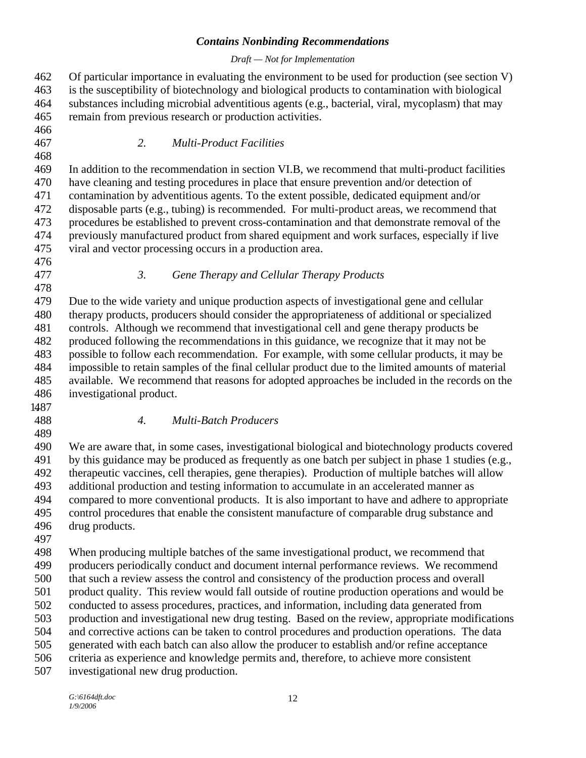#### *Draft — Not for Implementation*

<span id="page-14-0"></span>462 463 464 465 466 467 468 469 470 471 472 473 474 475 476 477 478 479 480 481 482 483 484 485 486 . 1487 488 489 490 491 492 493 494 495 496 497 498 499 500 501 502 503 504 505 506 507 Of particular importance in evaluating the environment to be used for production (see section V) is the susceptibility of biotechnology and biological products to contamination with biological substances including microbial adventitious agents (e.g., bacterial, viral, mycoplasm) that may remain from previous research or production activities. *2. Multi-Product Facilities*  In addition to the recommendation in section VI.B, we recommend that multi-product facilities have cleaning and testing procedures in place that ensure prevention and/or detection of contamination by adventitious agents. To the extent possible, dedicated equipment and/or disposable parts (e.g., tubing) is recommended. For multi-product areas, we recommend that procedures be established to prevent cross-contamination and that demonstrate removal of the previously manufactured product from shared equipment and work surfaces, especially if live viral and vector processing occurs in a production area. *3. Gene Therapy and Cellular Therapy Products*  Due to the wide variety and unique production aspects of investigational gene and cellular therapy products, producers should consider the appropriateness of additional or specialized controls. Although we recommend that investigational cell and gene therapy products be produced following the recommendations in this guidance, we recognize that it may not be possible to follow each recommendation. For example, with some cellular products, it may be impossible to retain samples of the final cellular product due to the limited amounts of material available. We recommend that reasons for adopted approaches be included in the records on the investigational product. *4. Multi-Batch Producers*  We are aware that, in some cases, investigational biological and biotechnology products covered by this guidance may be produced as frequently as one batch per subject in phase 1 studies (e.g., therapeutic vaccines, cell therapies, gene therapies). Production of multiple batches will allow additional production and testing information to accumulate in an accelerated manner as compared to more conventional products. It is also important to have and adhere to appropriate control procedures that enable the consistent manufacture of comparable drug substance and drug products. When producing multiple batches of the same investigational product, we recommend that producers periodically conduct and document internal performance reviews. We recommend that such a review assess the control and consistency of the production process and overall product quality. This review would fall outside of routine production operations and would be conducted to assess procedures, practices, and information, including data generated from production and investigational new drug testing. Based on the review, appropriate modifications and corrective actions can be taken to control procedures and production operations. The data generated with each batch can also allow the producer to establish and/or refine acceptance criteria as experience and knowledge permits and, therefore, to achieve more consistent investigational new drug production.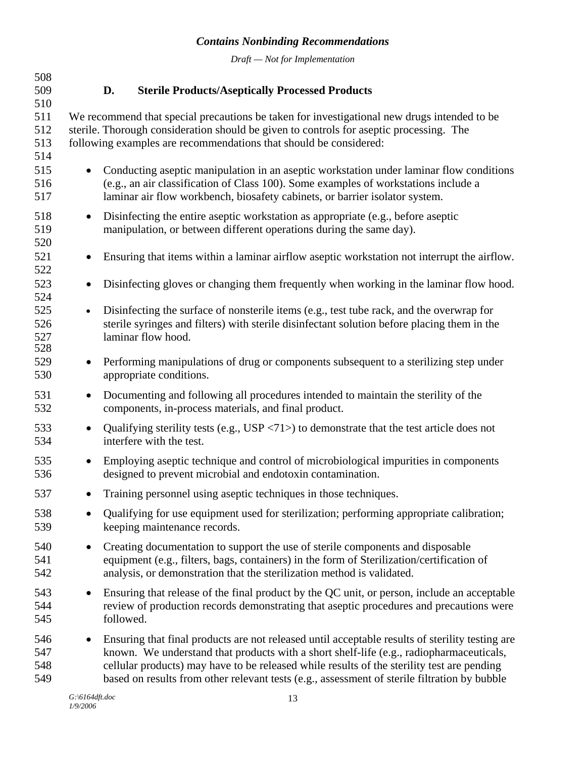<span id="page-15-0"></span>

| 508<br>509<br>510        |           | D.        | <b>Sterile Products/Aseptically Processed Products</b>                                                                                                                                                                                                                                                                                                                                   |
|--------------------------|-----------|-----------|------------------------------------------------------------------------------------------------------------------------------------------------------------------------------------------------------------------------------------------------------------------------------------------------------------------------------------------------------------------------------------------|
| 511<br>512<br>513<br>514 |           |           | We recommend that special precautions be taken for investigational new drugs intended to be<br>sterile. Thorough consideration should be given to controls for aseptic processing. The<br>following examples are recommendations that should be considered:                                                                                                                              |
| 515<br>516<br>517        | $\bullet$ |           | Conducting aseptic manipulation in an aseptic workstation under laminar flow conditions<br>(e.g., an air classification of Class 100). Some examples of workstations include a<br>laminar air flow workbench, biosafety cabinets, or barrier isolator system.                                                                                                                            |
| 518<br>519<br>520        | $\bullet$ |           | Disinfecting the entire aseptic workstation as appropriate (e.g., before aseptic<br>manipulation, or between different operations during the same day).                                                                                                                                                                                                                                  |
| 521<br>522               | $\bullet$ |           | Ensuring that items within a laminar airflow aseptic workstation not interrupt the airflow.                                                                                                                                                                                                                                                                                              |
| 523<br>524               | $\bullet$ |           | Disinfecting gloves or changing them frequently when working in the laminar flow hood.                                                                                                                                                                                                                                                                                                   |
| 525<br>526<br>527<br>528 | $\bullet$ |           | Disinfecting the surface of nonsterile items (e.g., test tube rack, and the overwrap for<br>sterile syringes and filters) with sterile disinfectant solution before placing them in the<br>laminar flow hood.                                                                                                                                                                            |
| 529<br>530               | $\bullet$ |           | Performing manipulations of drug or components subsequent to a sterilizing step under<br>appropriate conditions.                                                                                                                                                                                                                                                                         |
| 531<br>532               | $\bullet$ |           | Documenting and following all procedures intended to maintain the sterility of the<br>components, in-process materials, and final product.                                                                                                                                                                                                                                               |
| 533<br>534               | $\bullet$ |           | Qualifying sterility tests (e.g., $USP \langle 71 \rangle$ ) to demonstrate that the test article does not<br>interfere with the test.                                                                                                                                                                                                                                                   |
| 535<br>536               | $\bullet$ |           | Employing aseptic technique and control of microbiological impurities in components<br>designed to prevent microbial and endotoxin contamination.                                                                                                                                                                                                                                        |
| 537                      | $\bullet$ |           | Training personnel using aseptic techniques in those techniques.                                                                                                                                                                                                                                                                                                                         |
| 538<br>539               |           |           | Qualifying for use equipment used for sterilization; performing appropriate calibration;<br>keeping maintenance records.                                                                                                                                                                                                                                                                 |
| 540<br>541<br>542        | $\bullet$ |           | Creating documentation to support the use of sterile components and disposable<br>equipment (e.g., filters, bags, containers) in the form of Sterilization/certification of<br>analysis, or demonstration that the sterilization method is validated.                                                                                                                                    |
| 543<br>544<br>545        | $\bullet$ | followed. | Ensuring that release of the final product by the QC unit, or person, include an acceptable<br>review of production records demonstrating that aseptic procedures and precautions were                                                                                                                                                                                                   |
| 546<br>547<br>548<br>549 | $\bullet$ |           | Ensuring that final products are not released until acceptable results of sterility testing are<br>known. We understand that products with a short shelf-life (e.g., radiopharmaceuticals,<br>cellular products) may have to be released while results of the sterility test are pending<br>based on results from other relevant tests (e.g., assessment of sterile filtration by bubble |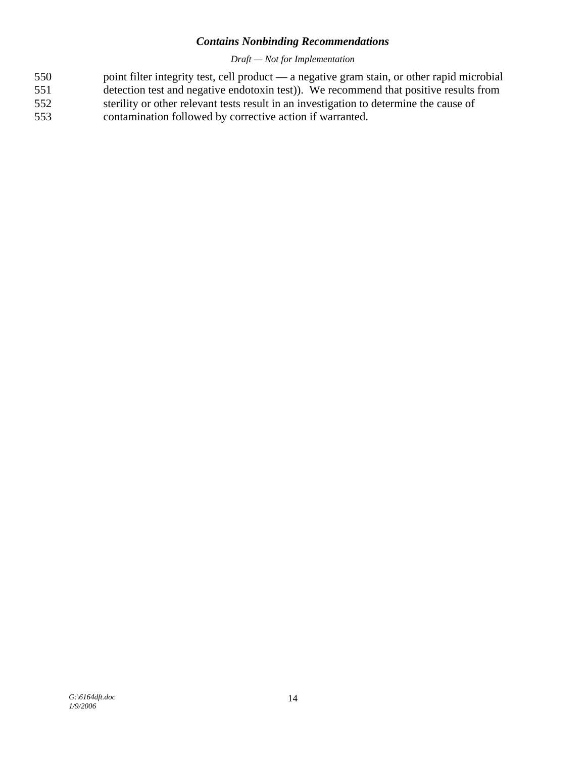- point filter integrity test, cell product a negative gram stain, or other rapid microbial detection test and negative endotoxin test)). We recommend that positive results from sterility or other relevant tests result in an investigation to determine the cause of 550 551 552
- contamination followed by corrective action if warranted. 553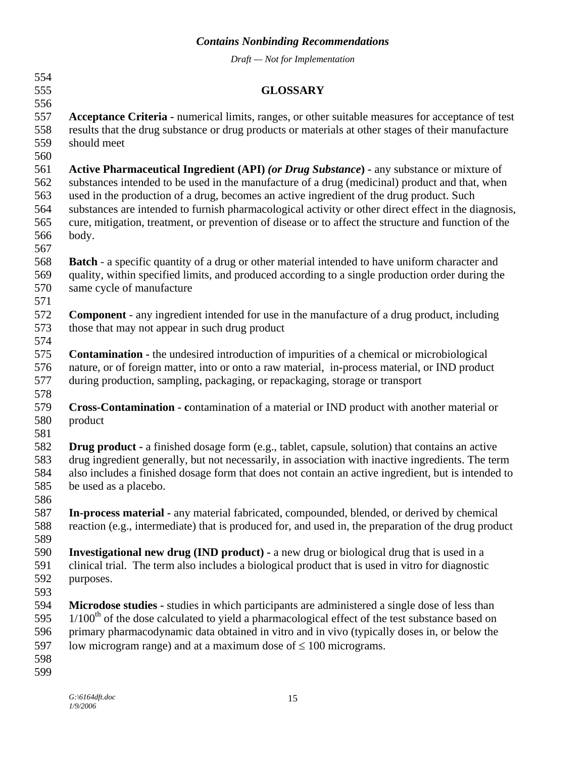<span id="page-17-0"></span>

| 554        |                                                                                                       |
|------------|-------------------------------------------------------------------------------------------------------|
| 555        | <b>GLOSSARY</b>                                                                                       |
| 556        |                                                                                                       |
| 557        | Acceptance Criteria - numerical limits, ranges, or other suitable measures for acceptance of test     |
| 558        | results that the drug substance or drug products or materials at other stages of their manufacture    |
| 559        | should meet                                                                                           |
| 560        |                                                                                                       |
| 561        | Active Pharmaceutical Ingredient (API) (or Drug Substance) - any substance or mixture of              |
| 562        | substances intended to be used in the manufacture of a drug (medicinal) product and that, when        |
| 563        | used in the production of a drug, becomes an active ingredient of the drug product. Such              |
| 564        | substances are intended to furnish pharmacological activity or other direct effect in the diagnosis,  |
| 565        | cure, mitigation, treatment, or prevention of disease or to affect the structure and function of the  |
| 566        | body.                                                                                                 |
| 567        |                                                                                                       |
| 568        | <b>Batch</b> - a specific quantity of a drug or other material intended to have uniform character and |
| 569        | quality, within specified limits, and produced according to a single production order during the      |
| 570        | same cycle of manufacture                                                                             |
| 571        |                                                                                                       |
| 572        | <b>Component</b> - any ingredient intended for use in the manufacture of a drug product, including    |
| 573        | those that may not appear in such drug product                                                        |
| 574        |                                                                                                       |
| 575        | <b>Contamination -</b> the undesired introduction of impurities of a chemical or microbiological      |
| 576        | nature, or of foreign matter, into or onto a raw material, in-process material, or IND product        |
| 577        | during production, sampling, packaging, or repackaging, storage or transport                          |
| 578        |                                                                                                       |
| 579        | <b>Cross-Contamination - contamination of a material or IND product with another material or</b>      |
| 580        | product                                                                                               |
| 581        |                                                                                                       |
| 582        | Drug product - a finished dosage form (e.g., tablet, capsule, solution) that contains an active       |
| 583        | drug ingredient generally, but not necessarily, in association with inactive ingredients. The term    |
| 584        | also includes a finished dosage form that does not contain an active ingredient, but is intended to   |
| 585        | be used as a placebo.                                                                                 |
| 586        |                                                                                                       |
| 587<br>588 | In-process material - any material fabricated, compounded, blended, or derived by chemical            |
| 589        | reaction (e.g., intermediate) that is produced for, and used in, the preparation of the drug product  |
| 590        | <b>Investigational new drug (IND product)</b> - a new drug or biological drug that is used in a       |
| 591        | clinical trial. The term also includes a biological product that is used in vitro for diagnostic      |
| 592        | purposes.                                                                                             |
| 593        |                                                                                                       |
| 594        | Microdose studies - studies in which participants are administered a single dose of less than         |
| 595        | $1/100th$ of the dose calculated to yield a pharmacological effect of the test substance based on     |
| 596        | primary pharmacodynamic data obtained in vitro and in vivo (typically doses in, or below the          |
| 597        | low microgram range) and at a maximum dose of $\leq 100$ micrograms.                                  |
| 598        |                                                                                                       |
| 599        |                                                                                                       |
|            |                                                                                                       |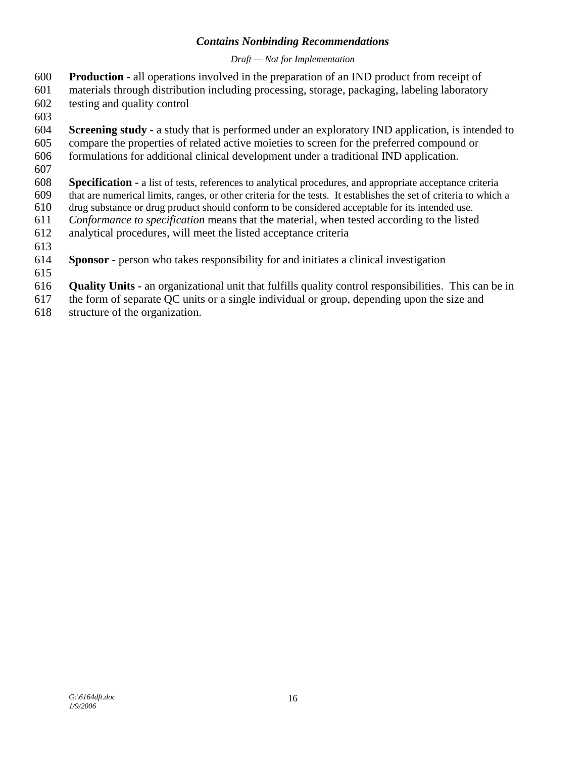- **Production -** all operations involved in the preparation of an IND product from receipt of 600
- materials through distribution including processing, storage, packaging, labeling laboratory 601
- testing and quality control 602
- 603
- 604 605 **Screening study -** a study that is performed under an exploratory IND application, is intended to compare the properties of related active moieties to screen for the preferred compound or
- 606 formulations for additional clinical development under a traditional IND application.
- 607
- 608 609 **Specification - a** list of tests, references to analytical procedures, and appropriate acceptance criteria that are numerical limits, ranges, or other criteria for the tests. It establishes the set of criteria to which a
- 610 drug substance or drug product should conform to be considered acceptable for its intended use.
- 611 *Conformance to specification* means that the material, when tested according to the listed
- 612 analytical procedures, will meet the listed acceptance criteria
- 613
- 614 **Sponsor -** person who takes responsibility for and initiates a clinical investigation
- 615
- 616 **Quality Units -** an organizational unit that fulfills quality control responsibilities. This can be in
- 617 the form of separate QC units or a single individual or group, depending upon the size and
- 618 structure of the organization.